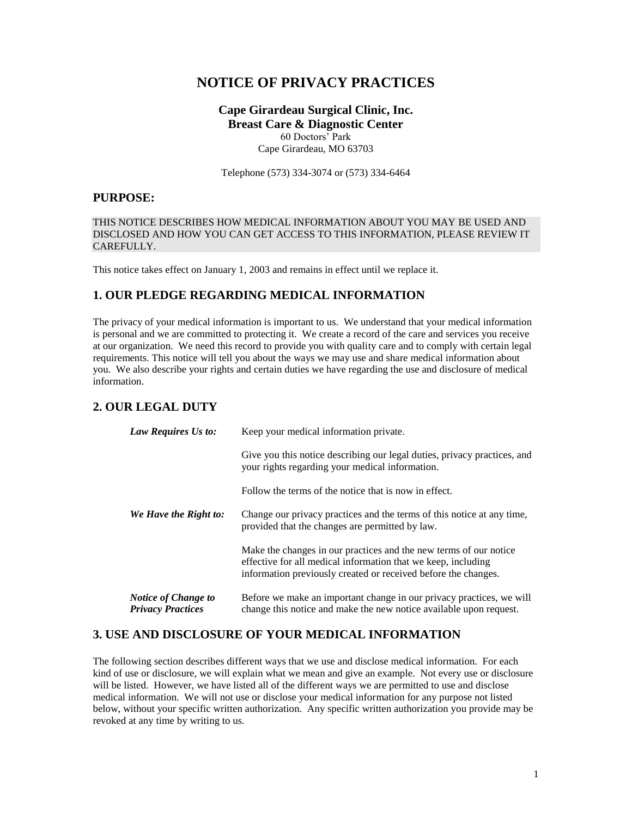# **NOTICE OF PRIVACY PRACTICES**

**Cape Girardeau Surgical Clinic, Inc. Breast Care & Diagnostic Center** 60 Doctors' Park Cape Girardeau, MO 63703

Telephone (573) 334-3074 or (573) 334-6464

## **PURPOSE:**

### THIS NOTICE DESCRIBES HOW MEDICAL INFORMATION ABOUT YOU MAY BE USED AND DISCLOSED AND HOW YOU CAN GET ACCESS TO THIS INFORMATION, PLEASE REVIEW IT CAREFULLY.

This notice takes effect on January 1, 2003 and remains in effect until we replace it.

# **1. OUR PLEDGE REGARDING MEDICAL INFORMATION**

The privacy of your medical information is important to us. We understand that your medical information is personal and we are committed to protecting it. We create a record of the care and services you receive at our organization. We need this record to provide you with quality care and to comply with certain legal requirements. This notice will tell you about the ways we may use and share medical information about you. We also describe your rights and certain duties we have regarding the use and disclosure of medical information.

# **2. OUR LEGAL DUTY**

| Law Requires Us to:                                    | Keep your medical information private.                                                                                                                                                               |
|--------------------------------------------------------|------------------------------------------------------------------------------------------------------------------------------------------------------------------------------------------------------|
|                                                        | Give you this notice describing our legal duties, privacy practices, and<br>your rights regarding your medical information.                                                                          |
|                                                        | Follow the terms of the notice that is now in effect.                                                                                                                                                |
| We Have the Right to:                                  | Change our privacy practices and the terms of this notice at any time,<br>provided that the changes are permitted by law.                                                                            |
|                                                        | Make the changes in our practices and the new terms of our notice<br>effective for all medical information that we keep, including<br>information previously created or received before the changes. |
| <b>Notice of Change to</b><br><b>Privacy Practices</b> | Before we make an important change in our privacy practices, we will<br>change this notice and make the new notice available upon request.                                                           |

### **3. USE AND DISCLOSURE OF YOUR MEDICAL INFORMATION**

The following section describes different ways that we use and disclose medical information. For each kind of use or disclosure, we will explain what we mean and give an example. Not every use or disclosure will be listed. However, we have listed all of the different ways we are permitted to use and disclose medical information. We will not use or disclose your medical information for any purpose not listed below, without your specific written authorization. Any specific written authorization you provide may be revoked at any time by writing to us.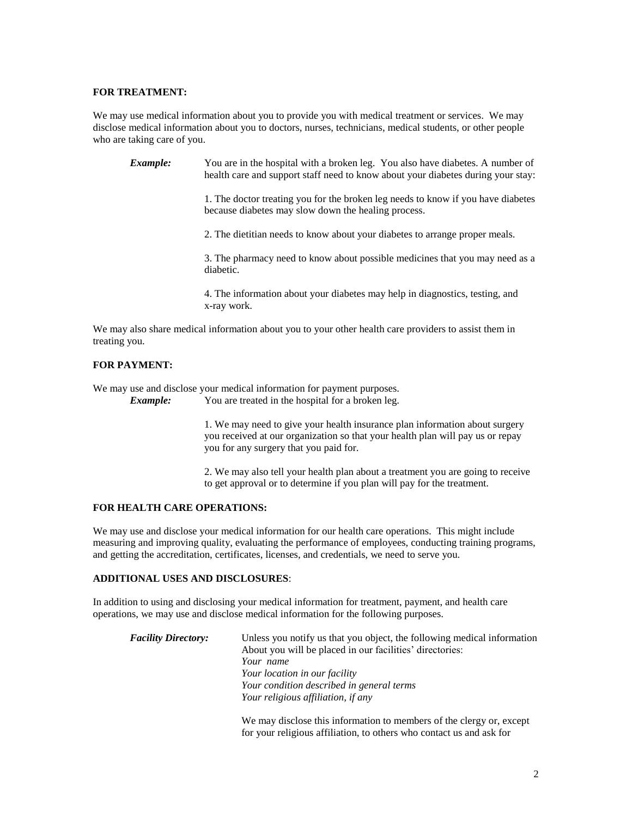### **FOR TREATMENT:**

We may use medical information about you to provide you with medical treatment or services. We may disclose medical information about you to doctors, nurses, technicians, medical students, or other people who are taking care of you.

*Example:* You are in the hospital with a broken leg. You also have diabetes. A number of health care and support staff need to know about your diabetes during your stay:

> 1. The doctor treating you for the broken leg needs to know if you have diabetes because diabetes may slow down the healing process.

2. The dietitian needs to know about your diabetes to arrange proper meals.

3. The pharmacy need to know about possible medicines that you may need as a diabetic.

4. The information about your diabetes may help in diagnostics, testing, and x-ray work.

We may also share medical information about you to your other health care providers to assist them in treating you.

### **FOR PAYMENT:**

We may use and disclose your medical information for payment purposes.

*Example:* You are treated in the hospital for a broken leg.

1. We may need to give your health insurance plan information about surgery you received at our organization so that your health plan will pay us or repay you for any surgery that you paid for.

2. We may also tell your health plan about a treatment you are going to receive to get approval or to determine if you plan will pay for the treatment.

#### **FOR HEALTH CARE OPERATIONS:**

We may use and disclose your medical information for our health care operations. This might include measuring and improving quality, evaluating the performance of employees, conducting training programs, and getting the accreditation, certificates, licenses, and credentials, we need to serve you.

#### **ADDITIONAL USES AND DISCLOSURES**:

In addition to using and disclosing your medical information for treatment, payment, and health care operations, we may use and disclose medical information for the following purposes.

| <b>Facility Directory:</b> | Unless you notify us that you object, the following medical information<br>About you will be placed in our facilities' directories: |
|----------------------------|-------------------------------------------------------------------------------------------------------------------------------------|
|                            | Your name                                                                                                                           |
|                            | Your location in our facility                                                                                                       |
|                            | Your condition described in general terms                                                                                           |
|                            | Your religious affiliation, if any                                                                                                  |
|                            |                                                                                                                                     |

We may disclose this information to members of the clergy or, except for your religious affiliation, to others who contact us and ask for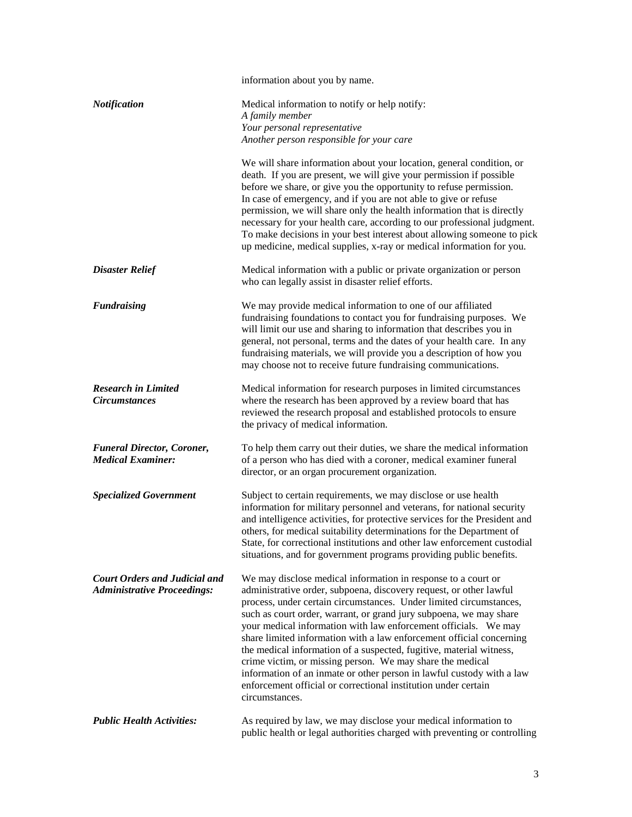|                                                                            | information about you by name.                                                                                                                                                                                                                                                                                                                                                                                                                                                                                                                                                                                                                                                                                              |
|----------------------------------------------------------------------------|-----------------------------------------------------------------------------------------------------------------------------------------------------------------------------------------------------------------------------------------------------------------------------------------------------------------------------------------------------------------------------------------------------------------------------------------------------------------------------------------------------------------------------------------------------------------------------------------------------------------------------------------------------------------------------------------------------------------------------|
| <b>Notification</b>                                                        | Medical information to notify or help notify:<br>A family member                                                                                                                                                                                                                                                                                                                                                                                                                                                                                                                                                                                                                                                            |
|                                                                            | Your personal representative                                                                                                                                                                                                                                                                                                                                                                                                                                                                                                                                                                                                                                                                                                |
|                                                                            | Another person responsible for your care                                                                                                                                                                                                                                                                                                                                                                                                                                                                                                                                                                                                                                                                                    |
|                                                                            | We will share information about your location, general condition, or<br>death. If you are present, we will give your permission if possible<br>before we share, or give you the opportunity to refuse permission.<br>In case of emergency, and if you are not able to give or refuse<br>permission, we will share only the health information that is directly<br>necessary for your health care, according to our professional judgment.<br>To make decisions in your best interest about allowing someone to pick<br>up medicine, medical supplies, x-ray or medical information for you.                                                                                                                                 |
| <b>Disaster Relief</b>                                                     | Medical information with a public or private organization or person<br>who can legally assist in disaster relief efforts.                                                                                                                                                                                                                                                                                                                                                                                                                                                                                                                                                                                                   |
| <b>Fundraising</b>                                                         | We may provide medical information to one of our affiliated<br>fundraising foundations to contact you for fundraising purposes. We<br>will limit our use and sharing to information that describes you in<br>general, not personal, terms and the dates of your health care. In any<br>fundraising materials, we will provide you a description of how you<br>may choose not to receive future fundraising communications.                                                                                                                                                                                                                                                                                                  |
| <b>Research in Limited</b><br><b>Circumstances</b>                         | Medical information for research purposes in limited circumstances<br>where the research has been approved by a review board that has<br>reviewed the research proposal and established protocols to ensure<br>the privacy of medical information.                                                                                                                                                                                                                                                                                                                                                                                                                                                                          |
| <b>Funeral Director, Coroner,</b><br><b>Medical Examiner:</b>              | To help them carry out their duties, we share the medical information<br>of a person who has died with a coroner, medical examiner funeral<br>director, or an organ procurement organization.                                                                                                                                                                                                                                                                                                                                                                                                                                                                                                                               |
| <b>Specialized Government</b>                                              | Subject to certain requirements, we may disclose or use health<br>information for military personnel and veterans, for national security<br>and intelligence activities, for protective services for the President and<br>others, for medical suitability determinations for the Department of<br>State, for correctional institutions and other law enforcement custodial<br>situations, and for government programs providing public benefits.                                                                                                                                                                                                                                                                            |
| <b>Court Orders and Judicial and</b><br><b>Administrative Proceedings:</b> | We may disclose medical information in response to a court or<br>administrative order, subpoena, discovery request, or other lawful<br>process, under certain circumstances. Under limited circumstances,<br>such as court order, warrant, or grand jury subpoena, we may share<br>your medical information with law enforcement officials. We may<br>share limited information with a law enforcement official concerning<br>the medical information of a suspected, fugitive, material witness,<br>crime victim, or missing person. We may share the medical<br>information of an inmate or other person in lawful custody with a law<br>enforcement official or correctional institution under certain<br>circumstances. |
| <b>Public Health Activities:</b>                                           | As required by law, we may disclose your medical information to<br>public health or legal authorities charged with preventing or controlling                                                                                                                                                                                                                                                                                                                                                                                                                                                                                                                                                                                |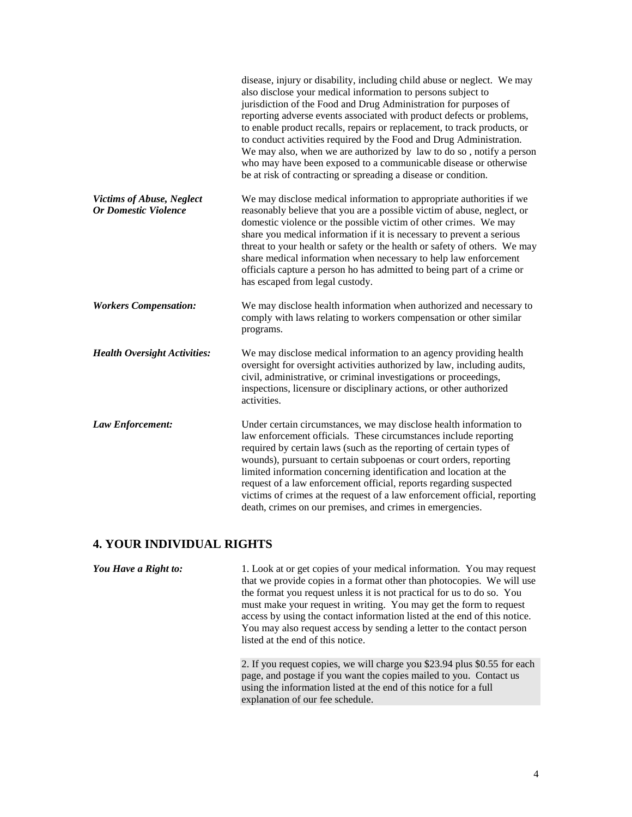|                                                                 | disease, injury or disability, including child abuse or neglect. We may<br>also disclose your medical information to persons subject to<br>jurisdiction of the Food and Drug Administration for purposes of<br>reporting adverse events associated with product defects or problems,<br>to enable product recalls, repairs or replacement, to track products, or<br>to conduct activities required by the Food and Drug Administration.<br>We may also, when we are authorized by law to do so, notify a person<br>who may have been exposed to a communicable disease or otherwise<br>be at risk of contracting or spreading a disease or condition. |
|-----------------------------------------------------------------|-------------------------------------------------------------------------------------------------------------------------------------------------------------------------------------------------------------------------------------------------------------------------------------------------------------------------------------------------------------------------------------------------------------------------------------------------------------------------------------------------------------------------------------------------------------------------------------------------------------------------------------------------------|
| <b>Victims of Abuse, Neglect</b><br><b>Or Domestic Violence</b> | We may disclose medical information to appropriate authorities if we<br>reasonably believe that you are a possible victim of abuse, neglect, or<br>domestic violence or the possible victim of other crimes. We may<br>share you medical information if it is necessary to prevent a serious<br>threat to your health or safety or the health or safety of others. We may<br>share medical information when necessary to help law enforcement<br>officials capture a person ho has admitted to being part of a crime or<br>has escaped from legal custody.                                                                                            |
| <b>Workers Compensation:</b>                                    | We may disclose health information when authorized and necessary to<br>comply with laws relating to workers compensation or other similar<br>programs.                                                                                                                                                                                                                                                                                                                                                                                                                                                                                                |
| <b>Health Oversight Activities:</b>                             | We may disclose medical information to an agency providing health<br>oversight for oversight activities authorized by law, including audits,<br>civil, administrative, or criminal investigations or proceedings,<br>inspections, licensure or disciplinary actions, or other authorized<br>activities.                                                                                                                                                                                                                                                                                                                                               |
| Law Enforcement:                                                | Under certain circumstances, we may disclose health information to<br>law enforcement officials. These circumstances include reporting<br>required by certain laws (such as the reporting of certain types of<br>wounds), pursuant to certain subpoenas or court orders, reporting<br>limited information concerning identification and location at the<br>request of a law enforcement official, reports regarding suspected<br>victims of crimes at the request of a law enforcement official, reporting<br>death, crimes on our premises, and crimes in emergencies.                                                                               |

# **4. YOUR INDIVIDUAL RIGHTS**

*You Have a Right to:* 1. Look at or get copies of your medical information. You may request that we provide copies in a format other than photocopies. We will use the format you request unless it is not practical for us to do so. You must make your request in writing. You may get the form to request access by using the contact information listed at the end of this notice. You may also request access by sending a letter to the contact person listed at the end of this notice.

> 2. If you request copies, we will charge you \$23.94 plus \$0.55 for each page, and postage if you want the copies mailed to you. Contact us using the information listed at the end of this notice for a full explanation of our fee schedule.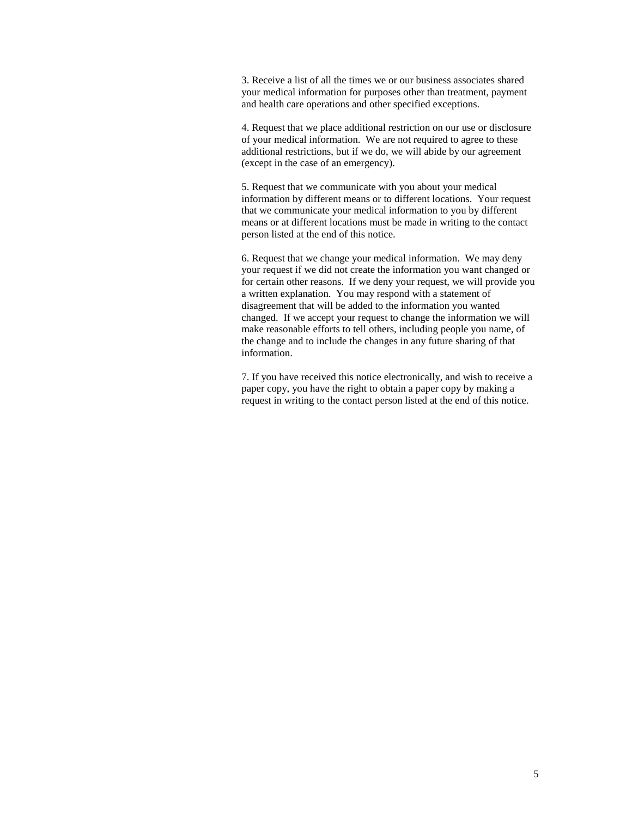3. Receive a list of all the times we or our business associates shared your medical information for purposes other than treatment, payment and health care operations and other specified exceptions.

4. Request that we place additional restriction on our use or disclosure of your medical information. We are not required to agree to these additional restrictions, but if we do, we will abide by our agreement (except in the case of an emergency).

5. Request that we communicate with you about your medical information by different means or to different locations. Your request that we communicate your medical information to you by different means or at different locations must be made in writing to the contact person listed at the end of this notice.

6. Request that we change your medical information. We may deny your request if we did not create the information you want changed or for certain other reasons. If we deny your request, we will provide you a written explanation. You may respond with a statement of disagreement that will be added to the information you wanted changed. If we accept your request to change the information we will make reasonable efforts to tell others, including people you name, of the change and to include the changes in any future sharing of that information.

7. If you have received this notice electronically, and wish to receive a paper copy, you have the right to obtain a paper copy by making a request in writing to the contact person listed at the end of this notice.